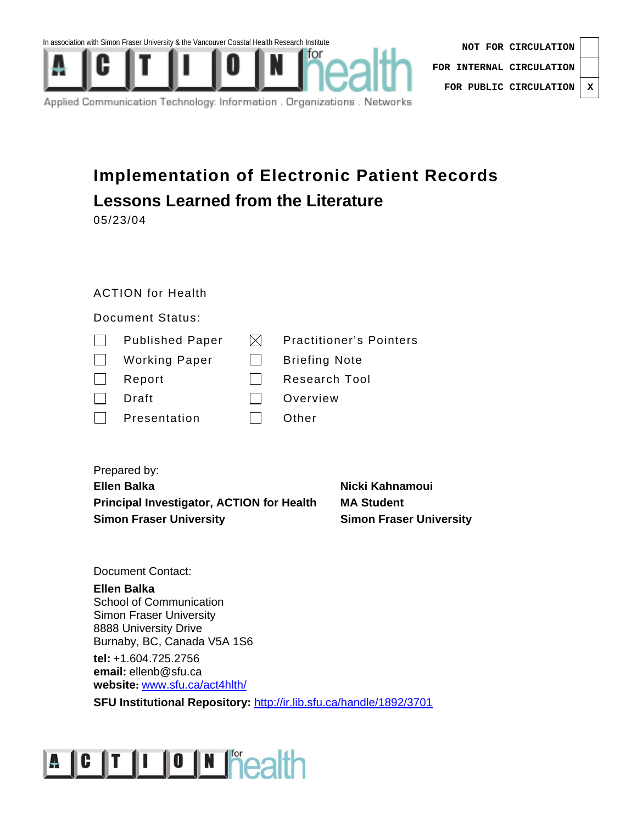

| NOT FOR CIRCULATION              |  |
|----------------------------------|--|
| FOR INTERNAL CIRCULATION $\vert$ |  |
| FOR PUBLIC CIRCULATION   X       |  |

Applied Communication Technology: Information . Organizations . Networks

### **Implementation of Electronic Patient Records Lessons Learned from the Literature**

05/23/04

#### ACTION for Health

Document Status:

| $\mathbf{I}$ | <b>Published Paper</b> | IXI          | <b>Practitioner's Pointers</b> |  |
|--------------|------------------------|--------------|--------------------------------|--|
| $\mathbf{I}$ | <b>Working Paper</b>   | $\mathbf{I}$ | <b>Briefing Note</b>           |  |
|              | Report                 |              | Research Tool                  |  |
|              | Draft                  |              | Overview                       |  |
|              | Presentation           |              | Other                          |  |
|              |                        |              |                                |  |

Prepared by:

**Ellen Balka Nicki Kahnamoui Principal Investigator, ACTION for Health MA Student Simon Fraser University**  Simon Fraser University

Document Contact:

**Ellen Balka**  School of Communication

Simon Fraser University 8888 University Drive Burnaby, BC, Canada V5A 1S6

**tel:** +1.604.725.2756 **email:** ellenb@sfu.ca **website:** www.sfu.ca/act4hlth/

**SFU Institutional Repository:** http://ir.lib.sfu.ca/handle/1892/3701

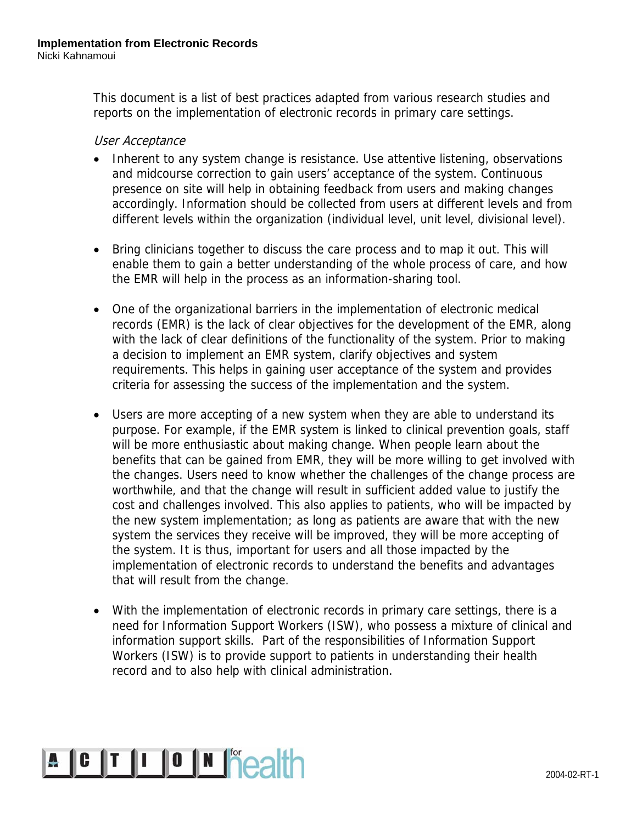This document is a list of best practices adapted from various research studies and reports on the implementation of electronic records in primary care settings.

#### User Acceptance

- Inherent to any system change is resistance. Use attentive listening, observations and midcourse correction to gain users' acceptance of the system. Continuous presence on site will help in obtaining feedback from users and making changes accordingly. Information should be collected from users at different levels and from different levels within the organization (individual level, unit level, divisional level).
- Bring clinicians together to discuss the care process and to map it out. This will enable them to gain a better understanding of the whole process of care, and how the EMR will help in the process as an information-sharing tool.
- One of the organizational barriers in the implementation of electronic medical records (EMR) is the lack of clear objectives for the development of the EMR, along with the lack of clear definitions of the functionality of the system. Prior to making a decision to implement an EMR system, clarify objectives and system requirements. This helps in gaining user acceptance of the system and provides criteria for assessing the success of the implementation and the system.
- Users are more accepting of a new system when they are able to understand its purpose. For example, if the EMR system is linked to clinical prevention goals, staff will be more enthusiastic about making change. When people learn about the benefits that can be gained from EMR, they will be more willing to get involved with the changes. Users need to know whether the challenges of the change process are worthwhile, and that the change will result in sufficient added value to justify the cost and challenges involved. This also applies to patients, who will be impacted by the new system implementation; as long as patients are aware that with the new system the services they receive will be improved, they will be more accepting of the system. It is thus, important for users and all those impacted by the implementation of electronic records to understand the benefits and advantages that will result from the change.
- With the implementation of electronic records in primary care settings, there is a need for Information Support Workers (ISW), who possess a mixture of clinical and information support skills. Part of the responsibilities of Information Support Workers (ISW) is to provide support to patients in understanding their health record and to also help with clinical administration.

# A C T I O N **FOCAT**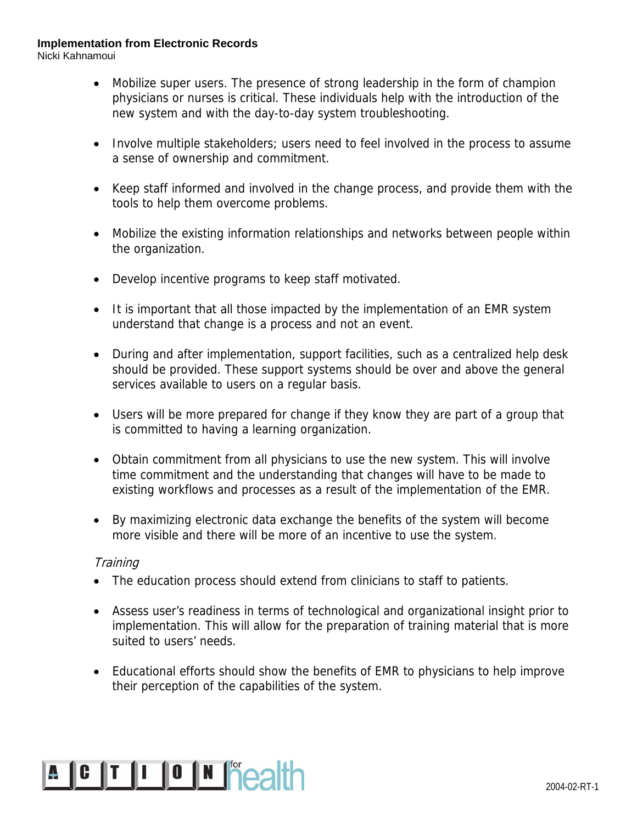Nicki Kahnamoui

- Mobilize super users. The presence of strong leadership in the form of champion physicians or nurses is critical. These individuals help with the introduction of the new system and with the day-to-day system troubleshooting.
- Involve multiple stakeholders; users need to feel involved in the process to assume a sense of ownership and commitment.
- Keep staff informed and involved in the change process, and provide them with the tools to help them overcome problems.
- Mobilize the existing information relationships and networks between people within the organization.
- Develop incentive programs to keep staff motivated.
- It is important that all those impacted by the implementation of an EMR system understand that change is a process and not an event.
- During and after implementation, support facilities, such as a centralized help desk should be provided. These support systems should be over and above the general services available to users on a regular basis.
- Users will be more prepared for change if they know they are part of a group that is committed to having a learning organization.
- Obtain commitment from all physicians to use the new system. This will involve time commitment and the understanding that changes will have to be made to existing workflows and processes as a result of the implementation of the EMR.
- By maximizing electronic data exchange the benefits of the system will become more visible and there will be more of an incentive to use the system.

#### **Training**

- The education process should extend from clinicians to staff to patients.
- Assess user's readiness in terms of technological and organizational insight prior to implementation. This will allow for the preparation of training material that is more suited to users' needs.
- Educational efforts should show the benefits of EMR to physicians to help improve their perception of the capabilities of the system.

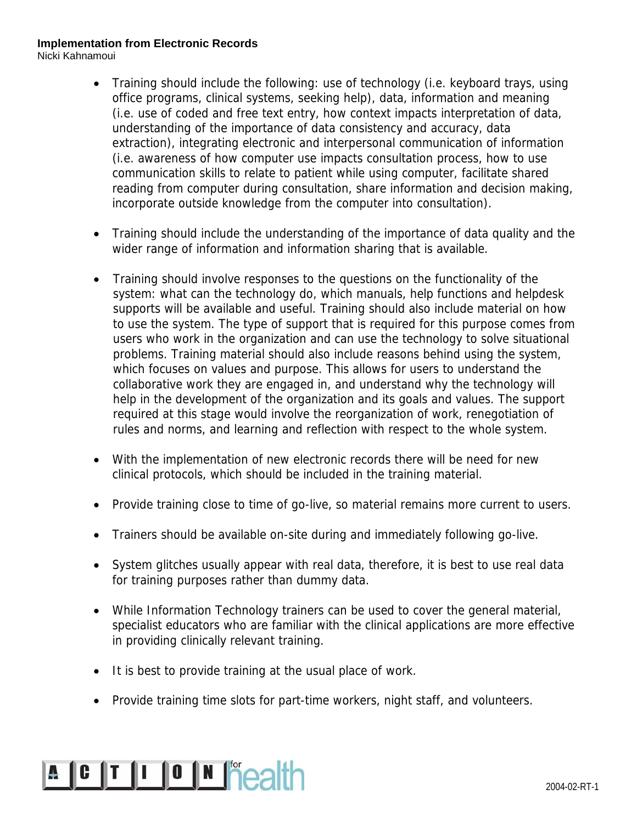Nicki Kahnamoui

- Training should include the following: use of technology (i.e. keyboard trays, using office programs, clinical systems, seeking help), data, information and meaning (i.e. use of coded and free text entry, how context impacts interpretation of data, understanding of the importance of data consistency and accuracy, data extraction), integrating electronic and interpersonal communication of information (i.e. awareness of how computer use impacts consultation process, how to use communication skills to relate to patient while using computer, facilitate shared reading from computer during consultation, share information and decision making, incorporate outside knowledge from the computer into consultation).
- Training should include the understanding of the importance of data quality and the wider range of information and information sharing that is available.
- Training should involve responses to the questions on the functionality of the system: what can the technology do, which manuals, help functions and helpdesk supports will be available and useful. Training should also include material on how to use the system. The type of support that is required for this purpose comes from users who work in the organization and can use the technology to solve situational problems. Training material should also include reasons behind using the system, which focuses on values and purpose. This allows for users to understand the collaborative work they are engaged in, and understand why the technology will help in the development of the organization and its goals and values. The support required at this stage would involve the reorganization of work, renegotiation of rules and norms, and learning and reflection with respect to the whole system.
- With the implementation of new electronic records there will be need for new clinical protocols, which should be included in the training material.
- Provide training close to time of go-live, so material remains more current to users.
- Trainers should be available on-site during and immediately following go-live.
- System glitches usually appear with real data, therefore, it is best to use real data for training purposes rather than dummy data.
- While Information Technology trainers can be used to cover the general material, specialist educators who are familiar with the clinical applications are more effective in providing clinically relevant training.
- It is best to provide training at the usual place of work.
- Provide training time slots for part-time workers, night staff, and volunteers.

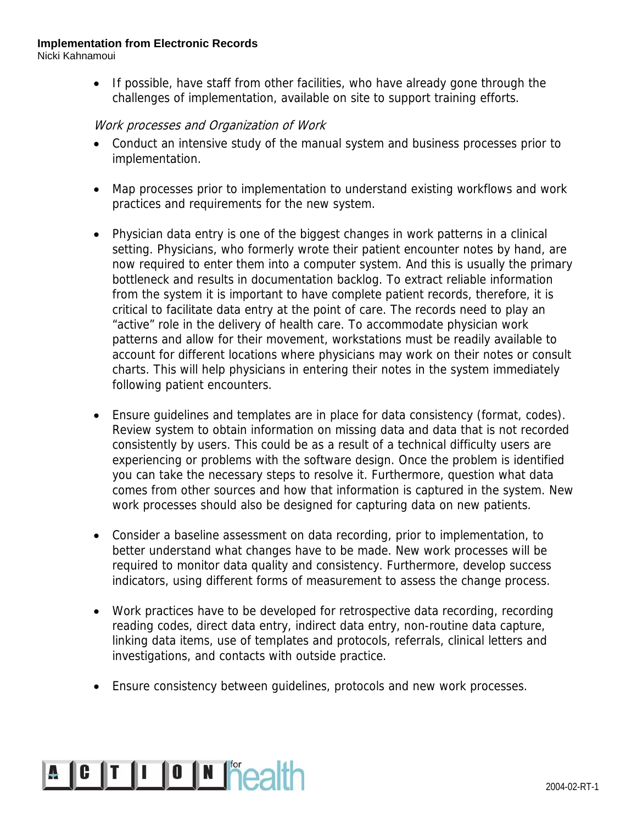Nicki Kahnamoui

• If possible, have staff from other facilities, who have already gone through the challenges of implementation, available on site to support training efforts.

#### Work processes and Organization of Work

- Conduct an intensive study of the manual system and business processes prior to implementation.
- Map processes prior to implementation to understand existing workflows and work practices and requirements for the new system.
- Physician data entry is one of the biggest changes in work patterns in a clinical setting. Physicians, who formerly wrote their patient encounter notes by hand, are now required to enter them into a computer system. And this is usually the primary bottleneck and results in documentation backlog. To extract reliable information from the system it is important to have complete patient records, therefore, it is critical to facilitate data entry at the point of care. The records need to play an "active" role in the delivery of health care. To accommodate physician work patterns and allow for their movement, workstations must be readily available to account for different locations where physicians may work on their notes or consult charts. This will help physicians in entering their notes in the system immediately following patient encounters.
- Ensure guidelines and templates are in place for data consistency (format, codes). Review system to obtain information on missing data and data that is not recorded consistently by users. This could be as a result of a technical difficulty users are experiencing or problems with the software design. Once the problem is identified you can take the necessary steps to resolve it. Furthermore, question what data comes from other sources and how that information is captured in the system. New work processes should also be designed for capturing data on new patients.
- Consider a baseline assessment on data recording, prior to implementation, to better understand what changes have to be made. New work processes will be required to monitor data quality and consistency. Furthermore, develop success indicators, using different forms of measurement to assess the change process.
- Work practices have to be developed for retrospective data recording, recording reading codes, direct data entry, indirect data entry, non-routine data capture, linking data items, use of templates and protocols, referrals, clinical letters and investigations, and contacts with outside practice.
- Ensure consistency between guidelines, protocols and new work processes.

## **A C T I O N Pealth** 2004-02-RT-1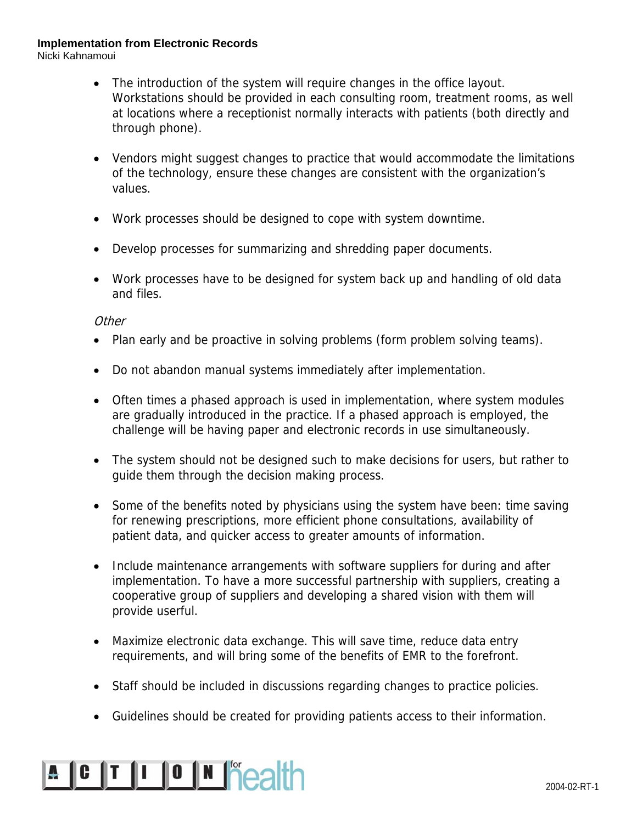Nicki Kahnamoui

- The introduction of the system will require changes in the office layout. Workstations should be provided in each consulting room, treatment rooms, as well at locations where a receptionist normally interacts with patients (both directly and through phone).
- Vendors might suggest changes to practice that would accommodate the limitations of the technology, ensure these changes are consistent with the organization's values.
- Work processes should be designed to cope with system downtime.
- Develop processes for summarizing and shredding paper documents.
- Work processes have to be designed for system back up and handling of old data and files.

#### **Other**

- Plan early and be proactive in solving problems (form problem solving teams).
- Do not abandon manual systems immediately after implementation.
- Often times a phased approach is used in implementation, where system modules are gradually introduced in the practice. If a phased approach is employed, the challenge will be having paper and electronic records in use simultaneously.
- The system should not be designed such to make decisions for users, but rather to guide them through the decision making process.
- Some of the benefits noted by physicians using the system have been: time saving for renewing prescriptions, more efficient phone consultations, availability of patient data, and quicker access to greater amounts of information.
- Include maintenance arrangements with software suppliers for during and after implementation. To have a more successful partnership with suppliers, creating a cooperative group of suppliers and developing a shared vision with them will provide userful.
- Maximize electronic data exchange. This will save time, reduce data entry requirements, and will bring some of the benefits of EMR to the forefront.
- Staff should be included in discussions regarding changes to practice policies.
- Guidelines should be created for providing patients access to their information.